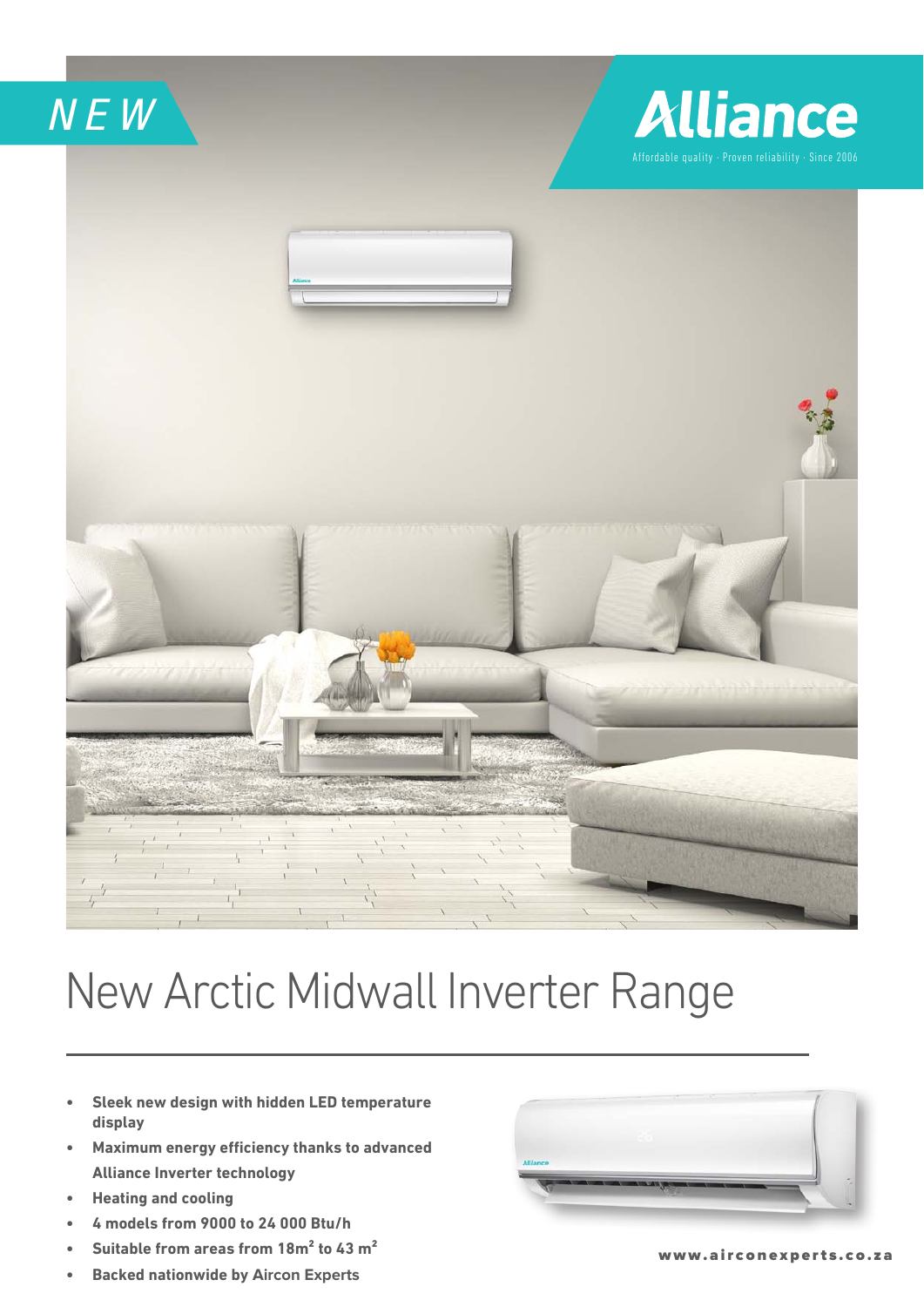*NEW*

## **Alliance** Affordable quality · Proven reliability · Since 2006



## New Arctic Midwall Inverter Range

- **Sleek new design with hidden LED temperature display**
- **•** Maximum energy efficiency thanks to advanced **Alliance Inverter technology**
- **•** Heating and cooling
- **4 models from 9000 to 24 000 Btu/h**
- **•** Suitable from areas from 18m<sup>2</sup> to 43 m<sup>2</sup>
- **Backed nationwide by Aircon Experts**



www.airconexperts.co.za